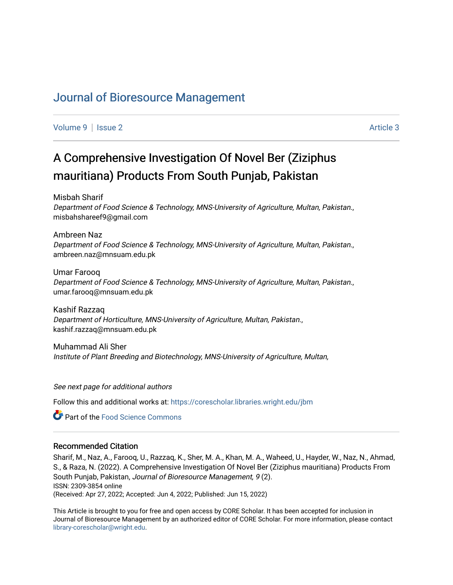## [Journal of Bioresource Management](https://corescholar.libraries.wright.edu/jbm)

[Volume 9](https://corescholar.libraries.wright.edu/jbm/vol9) | [Issue 2](https://corescholar.libraries.wright.edu/jbm/vol9/iss2) Article 3

# A Comprehensive Investigation Of Novel Ber (Ziziphus mauritiana) Products From South Punjab, Pakistan

Misbah Sharif Department of Food Science & Technology, MNS-University of Agriculture, Multan, Pakistan., misbahshareef9@gmail.com

#### Ambreen Naz

Department of Food Science & Technology, MNS-University of Agriculture, Multan, Pakistan., ambreen.naz@mnsuam.edu.pk

Umar Farooq Department of Food Science & Technology, MNS-University of Agriculture, Multan, Pakistan., umar.farooq@mnsuam.edu.pk

Kashif Razzaq Department of Horticulture, MNS-University of Agriculture, Multan, Pakistan., kashif.razzaq@mnsuam.edu.pk

Muhammad Ali Sher Institute of Plant Breeding and Biotechnology, MNS-University of Agriculture, Multan,

See next page for additional authors

Follow this and additional works at: [https://corescholar.libraries.wright.edu/jbm](https://corescholar.libraries.wright.edu/jbm?utm_source=corescholar.libraries.wright.edu%2Fjbm%2Fvol9%2Fiss2%2F3&utm_medium=PDF&utm_campaign=PDFCoverPages)

Part of the [Food Science Commons](https://network.bepress.com/hgg/discipline/84?utm_source=corescholar.libraries.wright.edu%2Fjbm%2Fvol9%2Fiss2%2F3&utm_medium=PDF&utm_campaign=PDFCoverPages) 

#### Recommended Citation

Sharif, M., Naz, A., Farooq, U., Razzaq, K., Sher, M. A., Khan, M. A., Waheed, U., Hayder, W., Naz, N., Ahmad, S., & Raza, N. (2022). A Comprehensive Investigation Of Novel Ber (Ziziphus mauritiana) Products From South Punjab, Pakistan, Journal of Bioresource Management, 9 (2). ISSN: 2309-3854 online (Received: Apr 27, 2022; Accepted: Jun 4, 2022; Published: Jun 15, 2022)

This Article is brought to you for free and open access by CORE Scholar. It has been accepted for inclusion in Journal of Bioresource Management by an authorized editor of CORE Scholar. For more information, please contact [library-corescholar@wright.edu](mailto:library-corescholar@wright.edu).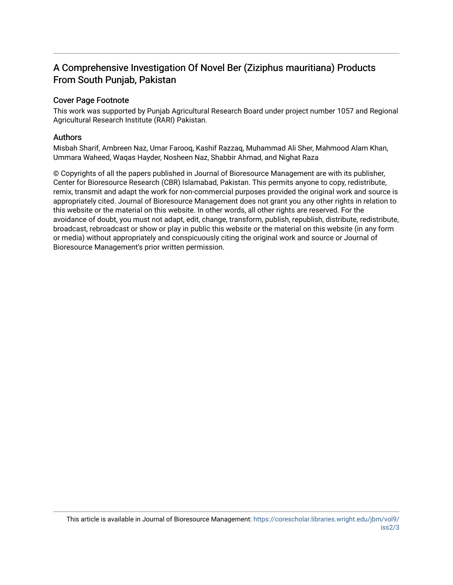## A Comprehensive Investigation Of Novel Ber (Ziziphus mauritiana) Products From South Punjab, Pakistan

#### Cover Page Footnote

This work was supported by Punjab Agricultural Research Board under project number 1057 and Regional Agricultural Research Institute (RARI) Pakistan.

#### Authors

Misbah Sharif, Ambreen Naz, Umar Farooq, Kashif Razzaq, Muhammad Ali Sher, Mahmood Alam Khan, Ummara Waheed, Waqas Hayder, Nosheen Naz, Shabbir Ahmad, and Nighat Raza

© Copyrights of all the papers published in Journal of Bioresource Management are with its publisher, Center for Bioresource Research (CBR) Islamabad, Pakistan. This permits anyone to copy, redistribute, remix, transmit and adapt the work for non-commercial purposes provided the original work and source is appropriately cited. Journal of Bioresource Management does not grant you any other rights in relation to this website or the material on this website. In other words, all other rights are reserved. For the avoidance of doubt, you must not adapt, edit, change, transform, publish, republish, distribute, redistribute, broadcast, rebroadcast or show or play in public this website or the material on this website (in any form or media) without appropriately and conspicuously citing the original work and source or Journal of Bioresource Management's prior written permission.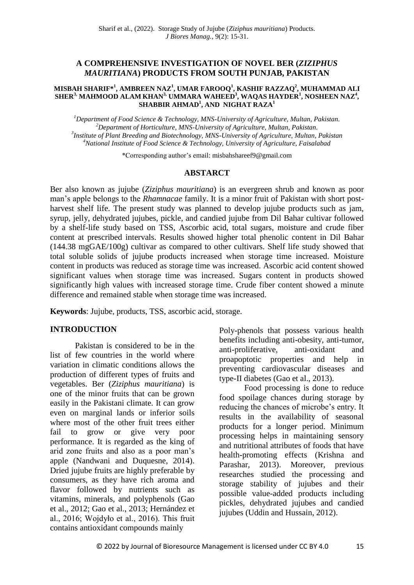#### **A COMPREHENSIVE INVESTIGATION OF NOVEL BER (***ZIZIPHUS MAURITIANA***) PRODUCTS FROM SOUTH PUNJAB, PAKISTAN**

#### **MISBAH SHARIF\*<sup>1</sup> , AMBREEN NAZ<sup>1</sup> , UMAR FAROOQ<sup>1</sup> , KASHIF RAZZAQ<sup>2</sup> , MUHAMMAD ALI SHER3, MAHMOOD ALAM KHAN3, UMMARA WAHEED<sup>3</sup> , WAQAS HAYDER<sup>1</sup> , NOSHEEN NAZ<sup>4</sup> , SHABBIR AHMAD<sup>1</sup> , AND NIGHAT RAZA<sup>1</sup>**

*Department of Food Science & Technology, MNS-University of Agriculture, Multan, Pakistan. Department of Horticulture, MNS-University of Agriculture, Multan, Pakistan. Institute of Plant Breeding and Biotechnology, MNS-University of Agriculture, Multan, Pakistan National Institute of Food Science & Technology, University of Agriculture, Faisalabad*

\*Corresponding author's email: [misbahshareef9@gmail.com](mailto:misbahshareef9@gmail.com)

#### **ABSTARCT**

Ber also known as jujube (*Ziziphus mauritiana*) is an evergreen shrub and known as poor man's apple belongs to the *Rhamnacae* family. It is a minor fruit of Pakistan with short postharvest shelf life. The present study was planned to develop jujube products such as jam, syrup, jelly, dehydrated jujubes, pickle, and candied jujube from Dil Bahar cultivar followed by a shelf-life study based on TSS, Ascorbic acid, total sugars, moisture and crude fiber content at prescribed intervals. Results showed higher total phenolic content in Dil Bahar (144.38 mgGAE/100g) cultivar as compared to other cultivars. Shelf life study showed that total soluble solids of jujube products increased when storage time increased. Moisture content in products was reduced as storage time was increased. Ascorbic acid content showed significant values when storage time was increased. Sugars content in products showed significantly high values with increased storage time. Crude fiber content showed a minute difference and remained stable when storage time was increased.

**Keywords**: Jujube, products, TSS, ascorbic acid, storage.

#### **INTRODUCTION**

Pakistan is considered to be in the list of few countries in the world where variation in climatic conditions allows the production of different types of fruits and vegetables. Ber (*Ziziphus mauritiana*) is one of the minor fruits that can be grown easily in the Pakistani climate. It can grow even on marginal lands or inferior soils where most of the other fruit trees either fail to grow or give very poor performance. It is regarded as the king of arid zone fruits and also as a poor man's apple (Nandwani and Duquesne, 2014). Dried jujube fruits are highly preferable by consumers, as they have rich aroma and flavor followed by nutrients such as vitamins, minerals, and polyphenols (Gao et al., 2012; Gao et al., 2013; Hernández et al., 2016; Wojdyło et al., 2016). This fruit contains antioxidant compounds mainly

Poly-phenols that possess various health benefits including anti-obesity, anti-tumor, anti-proliferative, anti-oxidant and proapoptotic properties and help in preventing cardiovascular diseases and type-II diabetes (Gao et al., 2013).

Food processing is done to reduce food spoilage chances during storage by reducing the chances of microbe's entry. It results in the availability of seasonal products for a longer period. Minimum processing helps in maintaining sensory and nutritional attributes of foods that have health-promoting effects (Krishna and Parashar, 2013). Moreover, previous researches studied the processing and storage stability of jujubes and their possible value-added products including pickles, dehydrated jujubes and candied jujubes (Uddin and Hussain, 2012).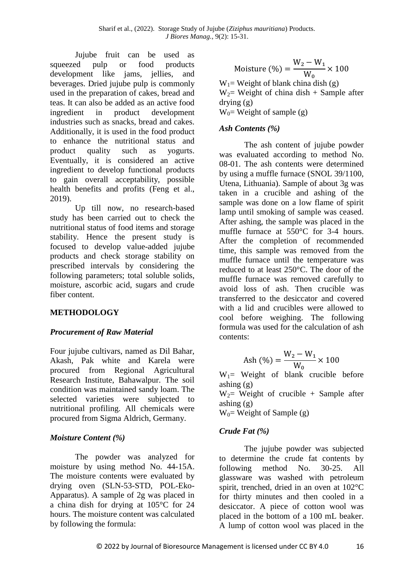Jujube fruit can be used as squeezed pulp or food products development like jams, jellies, and beverages. Dried jujube pulp is commonly used in the preparation of cakes, bread and teas. It can also be added as an active food ingredient in product development industries such as snacks, bread and cakes. Additionally, it is used in the food product to enhance the nutritional status and product quality such as yogurts. Eventually, it is considered an active ingredient to develop functional products to gain overall acceptability, possible health benefits and profits (Feng et al., 2019).

Up till now, no research-based study has been carried out to check the nutritional status of food items and storage stability. Hence the present study is focused to develop value-added jujube products and check storage stability on prescribed intervals by considering the following parameters; total soluble solids, moisture, ascorbic acid, sugars and crude fiber content.

### **METHODOLOGY**

### *Procurement of Raw Material*

Four jujube cultivars, named as Dil Bahar, Akash, Pak white and Karela were procured from Regional Agricultural Research Institute, Bahawalpur. The soil condition was maintained sandy loam. The selected varieties were subjected to nutritional profiling. All chemicals were procured from Sigma Aldrich, Germany.

### *Moisture Content (%)*

The powder was analyzed for moisture by using method No. 44-15A. The moisture contents were evaluated by drying oven (SLN-53-STD, POL-Eko-Apparatus). A sample of 2g was placed in a china dish for drying at 105°C for 24 hours. The moisture content was calculated by following the formula:

Moisture (%) = 
$$
\frac{W_2 - W_1}{W_0} \times 100
$$

 $W_1$  = Weight of blank china dish (g)  $W_2$  = Weight of china dish + Sample after drying (g)  $W_0$ = Weight of sample (g)

#### *Ash Contents (%)*

The ash content of jujube powder was evaluated according to method No. 08-01. The ash contents were determined by using a muffle furnace (SNOL 39/1100, Utena, Lithuania). Sample of about 3g was taken in a crucible and ashing of the sample was done on a low flame of spirit lamp until smoking of sample was ceased. After ashing, the sample was placed in the muffle furnace at 550°C for 3-4 hours. After the completion of recommended time, this sample was removed from the muffle furnace until the temperature was reduced to at least 250°C. The door of the muffle furnace was removed carefully to avoid loss of ash. Then crucible was transferred to the desiccator and covered with a lid and crucibles were allowed to cool before weighing. The following formula was used for the calculation of ash contents:

$$
Ash (%) = \frac{W_2 - W_1}{W_0} \times 100
$$

 $W_1$ = Weight of blank crucible before ashing  $(g)$ 

 $W_2$  = Weight of crucible + Sample after ashing (g)

 $W_0$ = Weight of Sample (g)

### *Crude Fat (%)*

The jujube powder was subjected to determine the crude fat contents by following method No. 30-25. All glassware was washed with petroleum spirit, trenched, dried in an oven at 102°C for thirty minutes and then cooled in a desiccator. A piece of cotton wool was placed in the bottom of a 100 mL beaker. A lump of cotton wool was placed in the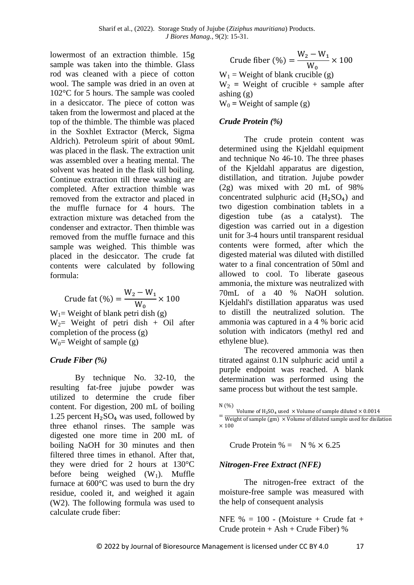lowermost of an extraction thimble. 15g sample was taken into the thimble. Glass rod was cleaned with a piece of cotton wool. The sample was dried in an oven at 102°C for 5 hours. The sample was cooled in a desiccator. The piece of cotton was taken from the lowermost and placed at the top of the thimble. The thimble was placed in the Soxhlet Extractor (Merck, Sigma Aldrich). Petroleum spirit of about 90mL was placed in the flask. The extraction unit was assembled over a heating mental. The solvent was heated in the flask till boiling. Continue extraction till three washing are completed. After extraction thimble was removed from the extractor and placed in the muffle furnace for 4 hours. The extraction mixture was detached from the condenser and extractor. Then thimble was removed from the muffle furnace and this sample was weighed. This thimble was placed in the desiccator. The crude fat contents were calculated by following formula:

Crude fat (%) = 
$$
\frac{W_2 - W_1}{W_0} \times 100
$$

 $W_1$  = Weight of blank petri dish (g)  $W_2$ = Weight of petri dish + Oil after completion of the process (g)  $W_0$ = Weight of sample (g)

#### *Crude Fiber (%)*

By technique No. 32-10, the resulting fat-free jujube powder was utilized to determine the crude fiber content. For digestion, 200 mL of boiling 1.25 percent  $H_2SO_4$  was used, followed by three ethanol rinses. The sample was digested one more time in 200 mL of boiling NaOH for 30 minutes and then filtered three times in ethanol. After that, they were dried for 2 hours at 130°C before being weighed  $(W_1)$ . Muffle furnace at 600°C was used to burn the dry residue, cooled it, and weighed it again (W2). The following formula was used to calculate crude fiber:

Crude fiber (%) = 
$$
\frac{W_2 - W_1}{W_0} \times 100
$$

 $W_1$  = Weight of blank crucible (g)  $W_2$  = Weight of crucible + sample after ashing (g)  $W_0$  = Weight of sample (g)

#### *Crude Protein (%)*

The crude protein content was determined using the Kjeldahl equipment and technique No 46-10. The three phases of the Kjeldahl apparatus are digestion, distillation, and titration. Jujube powder (2g) was mixed with 20 mL of 98% concentrated sulphuric acid  $(H_2SO_4)$  and two digestion combination tablets in a digestion tube (as a catalyst). The digestion was carried out in a digestion unit for 3-4 hours until transparent residual contents were formed, after which the digested material was diluted with distilled water to a final concentration of 50ml and allowed to cool. To liberate gaseous ammonia, the mixture was neutralized with 70mL of a 40 % NaOH solution. Kjeldahl's distillation apparatus was used to distill the neutralized solution. The ammonia was captured in a 4 % boric acid solution with indicators (methyl red and ethylene blue).

The recovered ammonia was then titrated against 0.1N sulphuric acid until a purple endpoint was reached. A blank determination was performed using the same process but without the test sample.

 $N$  (%)  $=\frac{1}{w}$ Volume of  $H_2$ SO<sub>4</sub> used  $\times$  Volume of sample diluted  $\times$  0.0014  $\times 100$ 

Crude Protein  $\% = N \% \times 6.25$ 

#### *Nitrogen-Free Extract (NFE)*

The nitrogen-free extract of the moisture-free sample was measured with the help of consequent analysis

NFE  $% = 100$  - (Moisture + Crude fat + Crude protein + Ash + Crude Fiber) %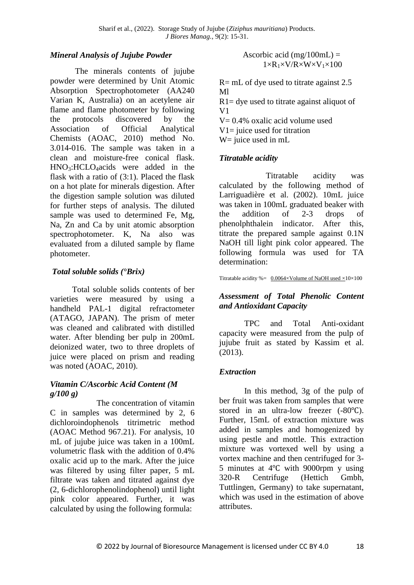#### *Mineral Analysis of Jujube Powder*

The minerals contents of jujube powder were determined by Unit Atomic Absorption Spectrophotometer (AA240 Varian K, Australia) on an acetylene air flame and flame photometer by following the protocols discovered by the Association of Official Analytical Chemists (AOAC, 2010) method No. 3.014-016. The sample was taken in a clean and moisture-free conical flask.  $HNO<sub>3</sub>:HCLO<sub>4</sub> acids were added in the$ flask with a ratio of (3:1). Placed the flask on a hot plate for minerals digestion. After the digestion sample solution was diluted for further steps of analysis. The diluted sample was used to determined Fe, Mg, Na, Zn and Ca by unit atomic absorption spectrophotometer. K, Na also was evaluated from a diluted sample by flame photometer.

#### *Total soluble solids (°Brix)*

Total soluble solids contents of ber varieties were measured by using a handheld PAL-1 digital refractometer (ATAGO, JAPAN). The prism of meter was cleaned and calibrated with distilled water. After blending ber pulp in 200mL deionized water, two to three droplets of juice were placed on prism and reading was noted (AOAC, 2010).

#### *Vitamin C/Ascorbic Acid Content (M g/100 g)*

The concentration of vitamin C in samples was determined by 2, 6 dichloroindophenols titrimetric method (AOAC Method 967.21). For analysis, 10 mL of jujube juice was taken in a 100mL volumetric flask with the addition of 0.4% oxalic acid up to the mark. After the juice was filtered by using filter paper, 5 mL filtrate was taken and titrated against dye (2, 6-dichlorophenolindophenol) until light pink color appeared. Further, it was calculated by using the following formula:

Ascorbic acid (mg/100mL) = 
$$
1 \times R_1 \times V/R \times W \times V_1 \times 100
$$

 $R= mL of d$  dye used to titrate against 2.5 Ml

R1= dye used to titrate against aliquot of V1

 $V = 0.4\%$  oxalic acid volume used

 $V1$ = juice used for titration

 $W =$  juice used in mL

#### *Titratable acidity*

Titratable acidity was calculated by the following method of Larriguadière et al. (2002). 10mL juice was taken in 100mL graduated beaker with the addition of 2-3 drops of phenolphthalein indicator. After this, titrate the prepared sample against 0.1N NaOH till light pink color appeared. The following formula was used for TA determination:

Titratable acidity %=  $0.0064 \times$ Volume of NaOH used  $\times 10 \times 100$ 

#### *Assessment of Total Phenolic Content and Antioxidant Capacity*

TPC and Total Anti-oxidant capacity were measured from the pulp of jujube fruit as stated by Kassim et al. (2013).

#### *Extraction*

In this method, 3g of the pulp of ber fruit was taken from samples that were stored in an ultra-low freezer (-80°C). Further, 15mL of extraction mixture was added in samples and homogenized by using pestle and mottle. This extraction mixture was vortexed well by using a vortex machine and then centrifuged for 3- 5 minutes at 4℃ with 9000rpm y using 320-R Centrifuge (Hettich Gmbh, Tuttlingen, Germany) to take supernatant, which was used in the estimation of above attributes.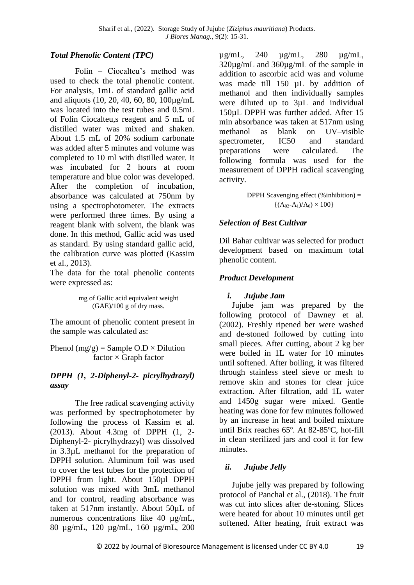#### *Total Phenolic Content (TPC)*

Folin – Ciocalteu's method was used to check the total phenolic content. For analysis, 1mL of standard gallic acid and aliquots (10, 20, 40, 60, 80, 100µg/mL was located into the test tubes and 0.5mL of Folin Ciocalteu,s reagent and 5 mL of distilled water was mixed and shaken. About 1.5 mL of 20% sodium carbonate was added after 5 minutes and volume was completed to 10 ml with distilled water. It was incubated for 2 hours at room temperature and blue color was developed. After the completion of incubation, absorbance was calculated at 750nm by using a spectrophotometer. The extracts were performed three times. By using a reagent blank with solvent, the blank was done. In this method, Gallic acid was used as standard. By using standard gallic acid, the calibration curve was plotted (Kassim et al., 2013).

The data for the total phenolic contents were expressed as:

> mg of Gallic acid equivalent weight (GAE)/100 g of dry mass.

The amount of phenolic content present in the sample was calculated as:

Phenol (mg/g) = Sample  $O.D \times Dilution$ factor  $\times$  Graph factor

#### *DPPH (1, 2-Diphenyl-2- picrylhydrazyl) assay*

The free radical scavenging activity was performed by spectrophotometer by following the process of Kassim et al*.* (2013). About 4.3mg of DPPH (1, 2- Diphenyl-2- picrylhydrazyl) was dissolved in 3.3µL methanol for the preparation of DPPH solution. Aluminum foil was used to cover the test tubes for the protection of DPPH from light. About 150µl DPPH solution was mixed with 3mL methanol and for control, reading absorbance was taken at 517nm instantly. About 50µL of numerous concentrations like 40 µg/mL, 80 µg/mL, 120 µg/mL, 160 µg/mL, 200 µg/mL, 240 µg/mL, 280 µg/mL, 320µg/mL and 360µg/mL of the sample in addition to ascorbic acid was and volume was made till 150 uL by addition of methanol and then individually samples were diluted up to 3µL and individual 150µL DPPH was further added. After 15 min absorbance was taken at 517nm using methanol as blank on UV–visible spectrometer, IC50 and standard preparations were calculated. The following formula was used for the measurement of DPPH radical scavenging activity.

> DPPH Scavenging effect  $(\%$  inhibition) =  ${(A<sub>02</sub>-A<sub>1</sub>)/A<sub>0</sub>) \times 100}$

#### *Selection of Best Cultivar*

Dil Bahar cultivar was selected for product development based on maximum total phenolic content.

#### *Product Development*

#### *i. Jujube Jam*

Jujube jam was prepared by the following protocol of Dawney et al. (2002). Freshly ripened ber were washed and de-stoned followed by cutting into small pieces. After cutting, about 2 kg ber were boiled in 1L water for 10 minutes until softened. After boiling, it was filtered through stainless steel sieve or mesh to remove skin and stones for clear juice extraction. After filtration, add 1L water and 1450g sugar were mixed. Gentle heating was done for few minutes followed by an increase in heat and boiled mixture until Brix reaches 65º. At 82-85ºC, hot-fill in clean sterilized jars and cool it for few minutes.

### *ii. Jujube Jelly*

Jujube jelly was prepared by following protocol of Panchal et al., (2018). The fruit was cut into slices after de-stoning. Slices were heated for about 10 minutes until get softened. After heating, fruit extract was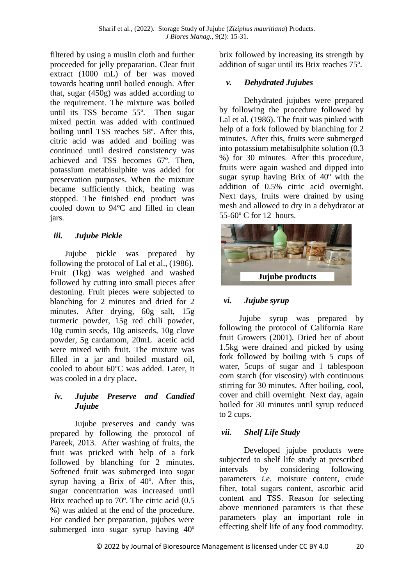filtered by using a muslin cloth and further proceeded for jelly preparation. Clear fruit extract (1000 mL) of ber was moved towards heating until boiled enough. After that, sugar (450g) was added according to the requirement. The mixture was boiled until its TSS become 55º. Then sugar mixed pectin was added with continued boiling until TSS reaches 58º. After this, citric acid was added and boiling was continued until desired consistency was achieved and TSS becomes 67º. Then, potassium metabisulphite was added for preservation purposes. When the mixture became sufficiently thick, heating was stopped. The finished end product was cooled down to 94ºC and filled in clean jars.

### *iii. Jujube Pickle*

Jujube pickle was prepared by following the protocol of Lal et al., (1986). Fruit (1kg) was weighed and washed followed by cutting into small pieces after destoning. Fruit pieces were subjected to blanching for 2 minutes and dried for 2 minutes. After drying, 60g salt, 15g turmeric powder, 15g red chili powder, 10g cumin seeds, 10g aniseeds, 10g clove powder, 5g cardamom, 20mL acetic acid were mixed with fruit. The mixture was filled in a jar and boiled mustard oil, cooled to about 60ºC was added. Later, it was cooled in a dry place**.**

### *iv. Jujube Preserve and Candied Jujube*

Jujube preserves and candy was prepared by following the protocol of Pareek, 2013. After washing of fruits, the fruit was pricked with help of a fork followed by blanching for 2 minutes. Softened fruit was submerged into sugar syrup having a Brix of 40º. After this, sugar concentration was increased until Brix reached up to 70<sup>o</sup>. The citric acid (0.5) %) was added at the end of the procedure. For candied ber preparation, jujubes were submerged into sugar syrup having 40º brix followed by increasing its strength by addition of sugar until its Brix reaches 75º.

### *v. Dehydrated Jujubes*

Dehydrated jujubes were prepared by following the procedure followed by Lal et al. (1986). The fruit was pinked with help of a fork followed by blanching for 2 minutes. After this, fruits were submerged into potassium metabisulphite solution (0.3 %) for 30 minutes. After this procedure, fruits were again washed and dipped into sugar syrup having Brix of 40º with the addition of 0.5% citric acid overnight. Next days, fruits were drained by using mesh and allowed to dry in a dehydrator at 55-60º C for 12 hours.



## *vi. Jujube syrup*

Jujube syrup was prepared by following the protocol of California Rare fruit Growers (2001). Dried ber of about 1.5kg were drained and picked by using fork followed by boiling with 5 cups of water, 5cups of sugar and 1 tablespoon corn starch (for viscosity) with continuous stirring for 30 minutes. After boiling, cool, cover and chill overnight. Next day, again boiled for 30 minutes until syrup reduced to 2 cups.

### *vii. Shelf Life Study*

Developed jujube products were subjected to shelf life study at prescribed intervals by considering following parameters *i.e.* moisture content, crude fiber, total sugars content, ascorbic acid content and TSS. Reason for selecting above mentioned paramters is that these parameters play an important role in effecting shelf life of any food commodity.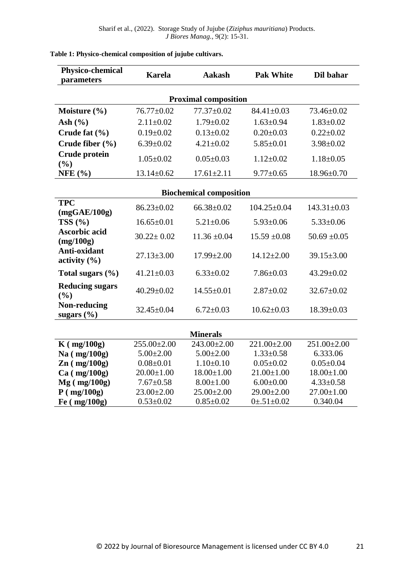| <b>Physico-chemical</b><br>parameters | <b>Karela</b>     | <b>Aakash</b>                  | <b>Pak White</b>     | Dil bahar         |
|---------------------------------------|-------------------|--------------------------------|----------------------|-------------------|
|                                       |                   | <b>Proximal composition</b>    |                      |                   |
| Moisture $(\% )$                      | $76.77 \pm 0.02$  | $77.37 \pm 0.02$               | $84.41 \pm 0.03$     | $73.46 \pm 0.02$  |
| Ash $(\% )$                           | $2.11 \pm 0.02$   | $1.79 \pm 0.02$                | $1.63 \pm 0.94$      | $1.83 \pm 0.02$   |
| Crude fat $(\% )$                     | $0.19 \pm 0.02$   | $0.13 \pm 0.02$                | $0.20 \pm 0.03$      | $0.22 \pm 0.02$   |
| Crude fiber $(\% )$                   | $6.39 \pm 0.02$   | $4.21 \pm 0.02$                | $5.85 \pm 0.01$      | $3.98 \pm 0.02$   |
| Crude protein<br>(%)                  | $1.05 \pm 0.02$   | $0.05 \pm 0.03$                | $1.12 \pm 0.02$      | $1.18 \pm 0.05$   |
| NFE $(% )$                            | $13.14 \pm 0.62$  | $17.61 \pm 2.11$               | $9.77 \pm 0.65$      | $18.96 \pm 0.70$  |
|                                       |                   | <b>Biochemical composition</b> |                      |                   |
| <b>TPC</b><br>(mgGAE/100g)            | $86.23 \pm 0.02$  | $66.38 \pm 0.02$               | $104.25 \pm 0.04$    | $143.31 \pm 0.03$ |
| TSS(%)                                | $16.65 \pm 0.01$  | $5.21 \pm 0.06$                | $5.93 \pm 0.06$      | $5.33 \pm 0.06$   |
| <b>Ascorbic acid</b><br>(mg/100g)     | $30.22 \pm 0.02$  | $11.36 \pm 0.04$               | $15.59 \pm 0.08$     | $50.69 \pm 0.05$  |
| Anti-oxidant<br>activity $(\% )$      | $27.13 \pm 3.00$  | $17.99 \pm 2.00$               | $14.12 \pm 2.00$     | $39.15 \pm 3.00$  |
| Total sugars $(\% )$                  | $41.21 \pm 0.03$  | $6.33 \pm 0.02$                | $7.86 \pm 0.03$      | $43.29 \pm 0.02$  |
| <b>Reducing sugars</b><br>(%)         | $40.29 \pm 0.02$  | $14.55 \pm 0.01$               | $2.87 \pm 0.02$      | $32.67 \pm 0.02$  |
| Non-reducing<br>sugars $(\% )$        | $32.45 \pm 0.04$  | $6.72 \pm 0.03$                | $10.62 \pm 0.03$     | $18.39 \pm 0.03$  |
|                                       |                   | <b>Minerals</b>                |                      |                   |
| $K$ (mg/100g)                         | $255.00 \pm 2.00$ | $243.00 \pm 2.00$              | $221.00 \pm 2.00$    | $251.00 \pm 2.00$ |
| $Na$ ( $mg/100g$ )                    | $5.00 \pm 2.00$   | $5.00 \pm 2.00$                | $1.33 \pm 0.58$      | 6.333.06          |
| $\text{Zn}$ (mg/100g)                 | $0.08 \pm 0.01$   | $1.10 \pm 0.10$                | $0.05 \pm 0.02$      | $0.05 \pm 0.04$   |
| Ca (mg/100g)                          | $20.00 \pm 1.00$  | $18.00 \pm 1.00$               | $21.00 \pm 1.00$     | $18.00 \pm 1.00$  |
| Mg (mg/100g)                          | $7.67 \pm 0.58$   | $8.00 \pm 1.00$                | $6.00 \pm 0.00$      | $4.33 \pm 0.58$   |
| $P($ mg/100g)                         | $23.00 \pm 2.00$  | $25.00 \pm 2.00$               | $29.00 \pm 2.00$     | $27.00 \pm 1.00$  |
| Fe $(mg/100g)$                        | $0.53 \pm 0.02$   | $0.85 \pm 0.02$                | $0 \pm .51 \pm 0.02$ | 0.340.04          |

#### **Table 1: Physico-chemical composition of jujube cultivars.**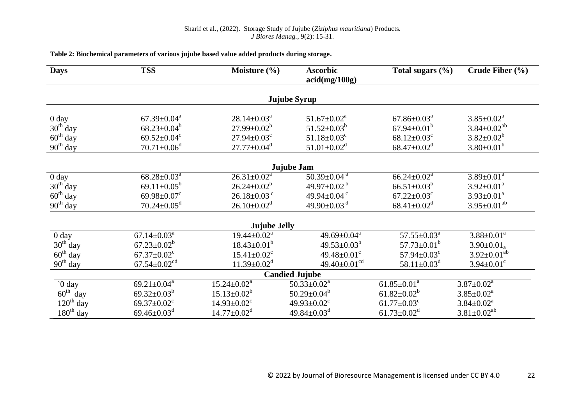#### Sharif et al., (2022). Storage Study of Jujube (*Ziziphus mauritiana*) Products. *J Biores Manag.*, 9(2): 15-31.

| <b>Days</b>              | <b>TSS</b>                                                 | Moisture $(\% )$                                               | <b>Ascorbic</b><br>acid(mg/100g)                               | Total sugars $(\% )$                                           | Crude Fiber $(\% )$                       |
|--------------------------|------------------------------------------------------------|----------------------------------------------------------------|----------------------------------------------------------------|----------------------------------------------------------------|-------------------------------------------|
|                          |                                                            |                                                                | <b>Jujube Syrup</b>                                            |                                                                |                                           |
| $0 \, day$<br>$30th$ day | $67.39 \pm 0.04^a$<br>$68.23 \pm 0.04^b$                   | $28.14 \pm 0.03^a$<br>$27.99 \pm 0.02^b$                       | $51.67 \pm 0.02^a$<br>$51.52 \pm 0.03^b$                       | $67.86 \pm 0.03^a$<br>$67.94 \pm 0.01^b$                       | $3.85 \pm 0.02^a$<br>$3.84 \pm 0.02^{ab}$ |
| $60th$ day<br>$90th$ day | 69.52 $\pm$ 0.04 $\textdegree$<br>$70.71 \pm 0.06^{\circ}$ | $27.94 \pm 0.03$ <sup>c</sup><br>$27.77 \pm 0.04$ <sup>d</sup> | $51.18 \pm 0.03$ <sup>c</sup><br>$51.01 \pm 0.02$ <sup>d</sup> | $68.12 \pm 0.03$ <sup>c</sup><br>$68.47 \pm 0.02$ <sup>d</sup> | $3.82 \pm 0.02^b$<br>$3.80 \pm 0.01^b$    |
|                          |                                                            |                                                                | Jujube Jam                                                     |                                                                |                                           |
| $0 \, day$               | $68.28 \pm 0.03^a$                                         | $26.31 \pm 0.02^a$                                             | $50.39 \pm 0.04$ <sup>a</sup>                                  | $66.24 \pm 0.02^a$                                             | $3.89 \pm 0.01^a$                         |
| $30th$ day               | 69.11 $\pm$ 0.05 <sup>b</sup>                              | $26.24 \pm 0.02^b$                                             | 49.97 $\pm$ 0.02 <sup>b</sup>                                  | $66.51 \pm 0.03^b$                                             | $3.92 \pm 0.01^a$                         |
| $60th$ day               | 69.98 $\pm$ 0.07 $\rm{^{\circ}}$                           | $26.18 \pm 0.03$ <sup>c</sup>                                  | 49.94 $\pm$ 0.04 $\degree$                                     | $67.22 \pm 0.03$ <sup>c</sup>                                  | $3.93 \pm 0.01^a$                         |
| $90th$ day               | $70.24 \pm 0.05$ <sup>d</sup>                              | $26.10\pm0.02^d$                                               | 49.90 $\pm$ 0.03 <sup>d</sup>                                  | $68.41 \pm 0.02$ <sup>d</sup>                                  | $3.95 \pm 0.01^{ab}$                      |
|                          |                                                            | <b>Jujube Jelly</b>                                            |                                                                |                                                                |                                           |
| 0 day                    | $67.14 \pm 0.03^{\text{a}}$                                | $19.44 \pm 0.02^a$                                             | $49.69 \pm 0.04^{\text{a}}$                                    | $57.55 \pm 0.03^{\text{a}}$                                    | $3.88 \pm 0.01^a$                         |
| $30th$ day               | $67.23 \pm 0.02^b$                                         | $18.43 \pm 0.01^b$                                             | $49.53 \pm 0.03^b$                                             | $57.73 \pm 0.01^b$                                             | $3.90 \pm 0.01_a$                         |
| $60th$ day               | $67.37 \pm 0.02$ <sup>c</sup>                              | $15.41 \pm 0.02$ <sup>c</sup>                                  | $49.48 \pm 0.01$ <sup>c</sup>                                  | $57.94 \pm 0.03$ <sup>c</sup>                                  | $3.92 \pm 0.01^{ab}$                      |
| $90th$ day               | $67.54 \pm 0.02$ <sup>cd</sup>                             | $11.39 \pm 0.02^d$                                             | $49.40 \pm 0.01$ <sup>cd</sup>                                 | 58.11 $\pm$ 0.03 <sup>d</sup>                                  | $3.94 \pm 0.01$ <sup>c</sup>              |
|                          |                                                            |                                                                | <b>Candied Jujube</b>                                          |                                                                |                                           |
| $\degree$ 0 day          | $69.21 \pm 0.04^a$                                         | $15.24 \pm 0.02^a$                                             | $50.33 \pm 0.02^a$                                             | $61.85 \pm 0.01^a$                                             | $3.87 \pm 0.02^a$                         |
| $60^{\text{th}}$ day     | $69.32 \pm 0.03^b$                                         | $15.13 \pm 0.02^b$                                             | $50.29 \pm 0.04^b$                                             | $61.82 \pm 0.02^b$                                             | $3.85 \pm 0.02^a$                         |
| $120th$ day              | 69.37 $\pm$ 0.02 $\rm{c}$                                  | $14.93 \pm 0.02$ <sup>c</sup>                                  | 49.93 $\pm$ 0.02 $\rm{c}$                                      | $61.77 \pm 0.03$ <sup>c</sup>                                  | $3.84 \pm 0.02^a$                         |
| $180th$ day              | $69.46 \pm 0.03$ <sup>d</sup>                              | $14.77 \pm 0.02^{\mathrm{d}}$                                  | $49.84 \pm 0.03^d$                                             | $61.73 \pm 0.02$ <sup>d</sup>                                  | $3.81 \pm 0.02^{ab}$                      |

#### **Table 2: Biochemical parameters of various jujube based value added products during storage.**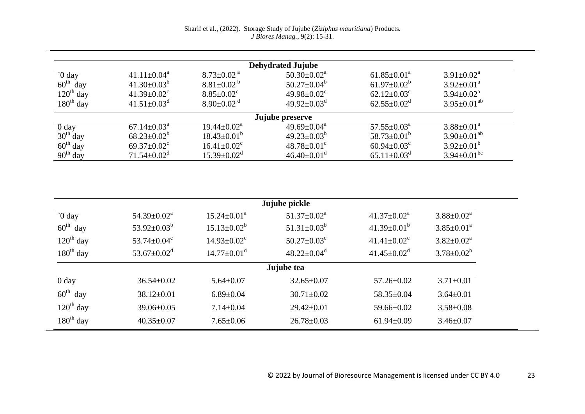|                  |                               |                               | <b>Dehydrated Jujube</b>      |                               |                               |
|------------------|-------------------------------|-------------------------------|-------------------------------|-------------------------------|-------------------------------|
| $\delta$ day     | $41.11 \pm 0.04^{\text{a}}$   | $8.73 \pm 0.02$ <sup>a</sup>  | $50.30 \pm 0.02^{\text{a}}$   | $61.85 \pm 0.01^a$            | $3.91 \pm 0.02^{\text{a}}$    |
| $60th$ day       | $41.30 \pm 0.03^b$            | $8.81 \pm 0.02^{\mathrm{b}}$  | $50.27 \pm 0.04^{\circ}$      | $61.97 \pm 0.02^b$            | $3.92 \pm 0.01^{\text{a}}$    |
| $120th$ day      | $41.39 \pm 0.02$ <sup>c</sup> | $8.85 \pm 0.02$ <sup>c</sup>  | $49.98 \pm 0.02$ <sup>c</sup> | $62.12 \pm 0.03$ <sup>c</sup> | $3.94 \pm 0.02^{\text{a}}$    |
| $180th$ day      | $41.51 \pm 0.03$ <sup>d</sup> | $8.90\pm0.02$ <sup>d</sup>    | $49.92 \pm 0.03$ <sup>d</sup> | $62.55 \pm 0.02$ <sup>d</sup> | $3.95 \pm 0.01^{ab}$          |
|                  |                               |                               | Jujube preserve               |                               |                               |
| 0 <sub>day</sub> | $67.14 \pm 0.03$ <sup>a</sup> | $19.44 \pm 0.02^{\text{a}}$   | $49.69 \pm 0.04^{\text{a}}$   | $57.55 \pm 0.03^{\circ}$      | $3.88 \pm 0.01^{\text{a}}$    |
| $30th$ day       | $68.23 \pm 0.02^b$            | $18.43 \pm 0.01^{\circ}$      | $49.23 \pm 0.03^{\circ}$      | $58.73 \pm 0.01^{\circ}$      | $3.90 \pm 0.01^{ab}$          |
| $60th$ day       | $69.37 \pm 0.02$ <sup>c</sup> | $16.41 \pm 0.02$ <sup>c</sup> | $48.78 \pm 0.01$ <sup>c</sup> | $60.94 \pm 0.03$ <sup>c</sup> | $3.92 \pm 0.01^b$             |
| $90th$ day       | $71.54 \pm 0.02^{\mathrm{d}}$ | $15.39 \pm 0.02^{\mathrm{d}}$ | $46.40 \pm 0.01$ <sup>d</sup> | $65.11 \pm 0.03$ <sup>d</sup> | $3.94 \pm 0.01$ <sup>bc</sup> |

|                         |                               |                               | Jujube pickle                 |                               |                   |
|-------------------------|-------------------------------|-------------------------------|-------------------------------|-------------------------------|-------------------|
| $\degree$ 0 day         | $54.39 \pm 0.02^{\text{a}}$   | $15.24 \pm 0.01^a$            | $51.37 \pm 0.02^a$            | $41.37 \pm 0.02^a$            | $3.88 \pm 0.02^a$ |
| $60^{\text{th}}$<br>day | 53.92 $\pm$ 0.03 <sup>b</sup> | $15.13 \pm 0.02^b$            | $51.31 \pm 0.03^b$            | $41.39 \pm 0.01^b$            | $3.85 \pm 0.01^a$ |
| $120^{th}$ day          | 53.74 $\pm$ 0.04 $\rm{c}$     | $14.93 \pm 0.02$ <sup>c</sup> | $50.27 \pm 0.03$ <sup>c</sup> | $41.41 \pm 0.02$ <sup>c</sup> | $3.82 \pm 0.02^a$ |
| $180th$ day             | 53.67 $\pm$ 0.02 <sup>d</sup> | $14.77 \pm 0.01$ <sup>d</sup> | $48.22 \pm 0.04$ <sup>d</sup> | $41.45 \pm 0.02^{\mathrm{d}}$ | $3.78 \pm 0.02^b$ |
|                         |                               |                               | Jujube tea                    |                               |                   |
| 0 <sub>day</sub>        | $36.54 \pm 0.02$              | $5.64 \pm 0.07$               | $32.65 \pm 0.07$              | $57.26 \pm 0.02$              | $3.71 \pm 0.01$   |
| $60^{\text{th}}$<br>day | $38.12 \pm 0.01$              | $6.89 \pm 0.04$               | $30.71 \pm 0.02$              | $58.35 \pm 0.04$              | $3.64 \pm 0.01$   |
| $120th$ day             | $39.06 \pm 0.05$              | $7.14 \pm 0.04$               | $29.42 \pm 0.01$              | $59.66 \pm 0.02$              | $3.58 \pm 0.08$   |
| $180th$ day             | $40.35 \pm 0.07$              | $7.65 \pm 0.06$               | $26.78 \pm 0.03$              | $61.94 \pm 0.09$              | $3.46 \pm 0.07$   |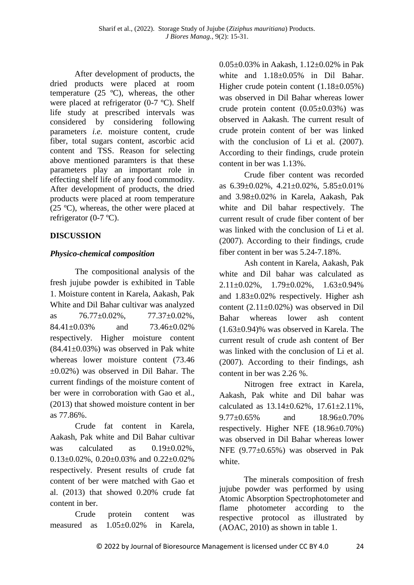After development of products, the dried products were placed at room temperature (25 ºC), whereas, the other were placed at refrigerator (0-7 ºC). Shelf life study at prescribed intervals was considered by considering following parameters *i.e.* moisture content, crude fiber, total sugars content, ascorbic acid content and TSS. Reason for selecting above mentioned paramters is that these parameters play an important role in effecting shelf life of any food commodity. After development of products, the dried products were placed at room temperature (25 ºC), whereas, the other were placed at refrigerator (0-7 ºC).

#### **DISCUSSION**

#### *Physico-chemical composition*

The compositional analysis of the fresh jujube powder is exhibited in Table 1. Moisture content in Karela, Aakash, Pak White and Dil Bahar cultivar was analyzed as  $76.77 \pm 0.02\%$ ,  $77.37 \pm 0.02\%$ , 84.41±0.03% and 73.46±0.02% respectively. Higher moisture content  $(84.41\pm0.03\%)$  was observed in Pak white whereas lower moisture content (73.46 ±0.02%) was observed in Dil Bahar. The current findings of the moisture content of ber were in corroboration with Gao et al., (2013) that showed moisture content in ber as 77.86%.

Crude fat content in Karela, Aakash, Pak white and Dil Bahar cultivar was calculated as  $0.19\pm0.02\%$ .  $0.13\pm0.02\%$ ,  $0.20\pm0.03\%$  and  $0.22\pm0.02\%$ respectively. Present results of crude fat content of ber were matched with Gao et al. (2013) that showed 0.20% crude fat content in ber.

Crude protein content was measured as 1.05±0.02% in Karela, 0.05±0.03% in Aakash, 1.12±0.02% in Pak white and  $1.18\pm0.05\%$  in Dil Bahar. Higher crude potein content (1.18±0.05%) was observed in Dil Bahar whereas lower crude protein content  $(0.05\pm0.03\%)$  was observed in Aakash. The current result of crude protein content of ber was linked with the conclusion of Li et al.  $(2007)$ . According to their findings, crude protein content in ber was 1.13%.

Crude fiber content was recorded as 6.39±0.02%, 4.21±0.02%, 5.85±0.01% and 3.98±0.02% in Karela, Aakash, Pak white and Dil bahar respectively. The current result of crude fiber content of ber was linked with the conclusion of Li et al. (2007). According to their findings, crude fiber content in ber was 5.24-7.18%.

Ash content in Karela, Aakash, Pak white and Dil bahar was calculated as  $2.11\pm0.02\%$ ,  $1.79\pm0.02\%$ ,  $1.63\pm0.94\%$ and 1.83±0.02% respectively. Higher ash content  $(2.11\pm0.02\%)$  was observed in Dil Bahar whereas lower ash content  $(1.63\pm0.94)\%$  was observed in Karela. The current result of crude ash content of Ber was linked with the conclusion of Li et al. (2007). According to their findings, ash content in ber was 2.26 %.

Nitrogen free extract in Karela, Aakash, Pak white and Dil bahar was calculated as  $13.14 \pm 0.62\%$ ,  $17.61 \pm 2.11\%$ , 9.77±0.65% and 18.96±0.70% respectively. Higher NFE (18.96±0.70%) was observed in Dil Bahar whereas lower NFE (9.77±0.65%) was observed in Pak white.

The minerals composition of fresh jujube powder was performed by using Atomic Absorption Spectrophotometer and flame photometer according to the respective protocol as illustrated by (AOAC, 2010) as shown in table 1.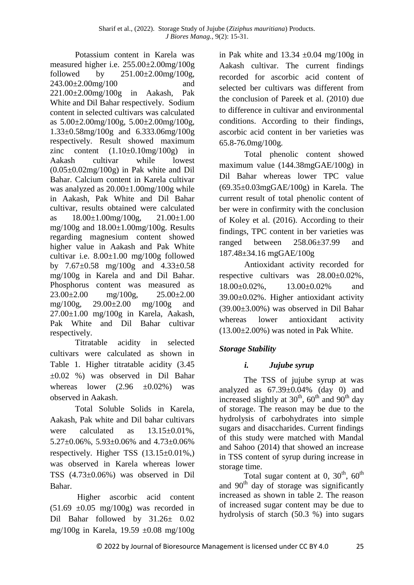Potassium content in Karela was measured higher i.e. 255.00±2.00mg/100g followed by  $251.00\pm2.00$ mg/100g, 243.00±2.00mg/100 and 221.00±2.00mg/100g in Aakash, Pak White and Dil Bahar respectively. Sodium content in selected cultivars was calculated as 5.00±2.00mg/100g, 5.00±2.00mg/100g, 1.33±0.58mg/100g and 6.333.06mg/100g respectively. Result showed maximum zinc content  $(1.10\pm0.10\text{mg}/100\text{g})$  in Aakash cultivar while lowest  $(0.05\pm0.02mg/100g)$  in Pak white and Dil Bahar. Calcium content in Karela cultivar was analyzed as 20.00±1.00mg/100g while in Aakash, Pak White and Dil Bahar cultivar, results obtained were calculated as  $18.00 \pm 1.00$  mg/100g,  $21.00 \pm 1.00$ mg/100g and 18.00±1.00mg/100g. Results regarding magnesium content showed higher value in Aakash and Pak White cultivar i.e.  $8.00 \pm 1.00$  mg/100g followed by 7.67±0.58 mg/100g and 4.33±0.58 mg/100g in Karela and and Dil Bahar. Phosphorus content was measured as 23.00±2.00 mg/100g, 25.00±2.00 mg/100g, 29.00±2.00 mg/100g and 27.00±1.00 mg/100g in Karela, Aakash, Pak White and Dil Bahar cultivar respectively.

Titratable acidity in selected cultivars were calculated as shown in Table 1. Higher titratable acidity (3.45 ±0.02 %) was observed in Dil Bahar whereas lower  $(2.96 \pm 0.02\%)$  was observed in Aakash.

Total Soluble Solids in Karela, Aakash, Pak white and Dil bahar cultivars were calculated as  $13.15\div0.01\%$ .  $5.27\pm0.06\%$ ,  $5.93\pm0.06\%$  and  $4.73\pm0.06\%$ respectively. Higher TSS (13.15±0.01%,) was observed in Karela whereas lower TSS (4.73±0.06%) was observed in Dil Bahar.

Higher ascorbic acid content  $(51.69 \pm 0.05 \text{ mg}/100 \text{g})$  was recorded in Dil Bahar followed by 31.26± 0.02 mg/100g in Karela, 19.59 ±0.08 mg/100g

in Pak white and  $13.34 \pm 0.04$  mg/100g in Aakash cultivar. The current findings recorded for ascorbic acid content of selected ber cultivars was different from the conclusion of Pareek et al. (2010) due to difference in cultivar and environmental conditions. According to their findings, ascorbic acid content in ber varieties was 65.8-76.0mg/100g.

Total phenolic content showed maximum value (144.38mgGAE/100g) in Dil Bahar whereas lower TPC value  $(69.35\pm0.03mgGAE/100g)$  in Karela. The current result of total phenolic content of ber were in confirmity with the conclusion of Koley et al. (2016). According to their findings, TPC content in ber varieties was ranged between 258.06±37.99 and 187.48±34.16 mgGAE/100g

Antioxidant activity recorded for respective cultivars was 28.00±0.02%, 18.00±0.02%, 13.00±0.02% and 39.00±0.02%. Higher antioxidant activity (39.00±3.00%) was observed in Dil Bahar whereas lower antioxidant activity  $(13.00\pm2.00\%)$  was noted in Pak White.

### *Storage Stability*

### *i. Jujube syrup*

The TSS of jujube syrup at was analyzed as  $67.39 \pm 0.04\%$  (day 0) and increased slightly at  $30<sup>th</sup>$ ,  $60<sup>th</sup>$  and  $90<sup>th</sup>$  day of storage. The reason may be due to the hydrolysis of carbohydrates into simple sugars and disaccharides. Current findings of this study were matched with Mandal and Sahoo (2014) that showed an increase in TSS content of syrup during increase in storage time.

Total sugar content at 0,  $30<sup>th</sup>$ ,  $60<sup>th</sup>$ and  $90<sup>th</sup>$  day of storage was significantly increased as shown in table 2. The reason of increased sugar content may be due to hydrolysis of starch (50.3 %) into sugars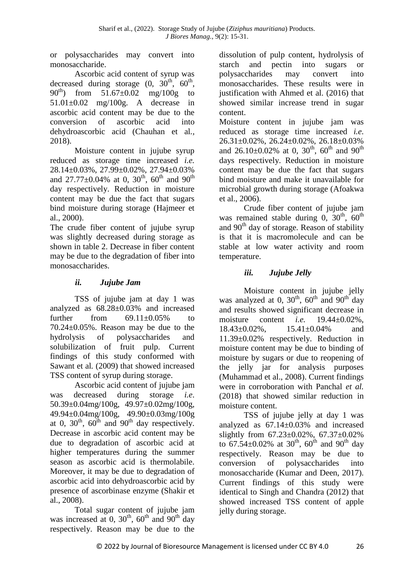or polysaccharides may convert into monosaccharide.

Ascorbic acid content of syrup was decreased during storage  $(0, 30<sup>th</sup>, 60<sup>th</sup>)$ , 90<sup>th</sup>) from 51.67 $\pm$ 0.02 mg/100g to 51.01±0.02 mg/100g. A decrease in ascorbic acid content may be due to the conversion of ascorbic acid into dehydroascorbic acid (Chauhan et al*.,* 2018).

Moisture content in jujube syrup reduced as storage time increased *i.e.* 28.14±0.03%, 27.99±0.02%, 27.94±0.03% and 27.77 $\pm$ 0.04% at 0, 30<sup>th</sup>, 60<sup>th</sup> and 90<sup>th</sup> day respectively. Reduction in moisture content may be due the fact that sugars bind moisture during storage (Hajmeer et al., 2000).

The crude fiber content of jujube syrup was slightly decreased during storage as shown in table 2. Decrease in fiber content may be due to the degradation of fiber into monosaccharides.

### *ii. Jujube Jam*

TSS of jujube jam at day 1 was analyzed as 68.28±0.03% and increased further from  $69.11\pm0.05\%$  to 70.24±0.05%. Reason may be due to the hydrolysis of polysaccharides and solubilization of fruit pulp. Current findings of this study conformed with Sawant et al*.* (2009) that showed increased TSS content of syrup during storage.

Ascorbic acid content of jujube jam was decreased during storage *i.e*. 50.39±0.04mg/100g, 49.97±0.02mg/100g, 49.94±0.04mg/100g, 49.90±0.03mg/100g at 0,  $30<sup>th</sup>$ ,  $60<sup>th</sup>$  and  $90<sup>th</sup>$  day respectively. Decrease in ascorbic acid content may be due to degradation of ascorbic acid at higher temperatures during the summer season as ascorbic acid is thermolabile. Moreover, it may be due to degradation of ascorbic acid into dehydroascorbic acid by presence of ascorbinase enzyme (Shakir et al., 2008).

Total sugar content of jujube jam was increased at 0,  $30^{\text{th}}$ ,  $60^{\text{th}}$  and  $90^{\text{th}}$  day respectively. Reason may be due to the

dissolution of pulp content, hydrolysis of starch and pectin into sugars or<br>polysaccharides may convert into polysaccharides may convert into monosaccharides. These results were in justification with Ahmed et al. (2016) that showed similar increase trend in sugar content.

Moisture content in jujube jam was reduced as storage time increased *i.e*. 26.31±0.02%, 26.24±0.02%, 26.18±0.03% and  $26.10\pm0.02\%$  at 0,  $30^{th}$ ,  $60^{th}$  and  $90^{th}$ days respectively. Reduction in moisture content may be due the fact that sugars bind moisture and make it unavailable for microbial growth during storage (Afoakwa et al., 2006).

Crude fiber content of jujube jam was remained stable during  $0, 30^{\text{th}}, 60^{\text{th}}$ and  $90<sup>th</sup>$  day of storage. Reason of stability is that it is macromolecule and can be stable at low water activity and room temperature.

## *iii. Jujube Jelly*

Moisture content in jujube jelly was analyzed at 0,  $30^{th}$ ,  $60^{th}$  and  $90^{th}$  day and results showed significant decrease in moisture content *i.e.* 19.44±0.02%, 18.43±0.02%, 15.41±0.04% and 11.39±0.02% respectively. Reduction in moisture content may be due to binding of moisture by sugars or due to reopening of the jelly jar for analysis purposes (Muhammad et al., 2008). Current findings were in corroboration with Panchal *et al.* (2018) that showed similar reduction in moisture content.

TSS of jujube jelly at day 1 was analyzed as 67.14±0.03% and increased slightly from 67.23±0.02%, 67.37±0.02% to  $67.54 \pm 0.02\%$  at  $30^{\text{th}}$ ,  $60^{\text{th}}$  and  $90^{\text{th}}$  day respectively. Reason may be due to conversion of polysaccharides into monosaccharide (Kumar and Deen, 2017). Current findings of this study were identical to Singh and Chandra (2012) that showed increased TSS content of apple jelly during storage.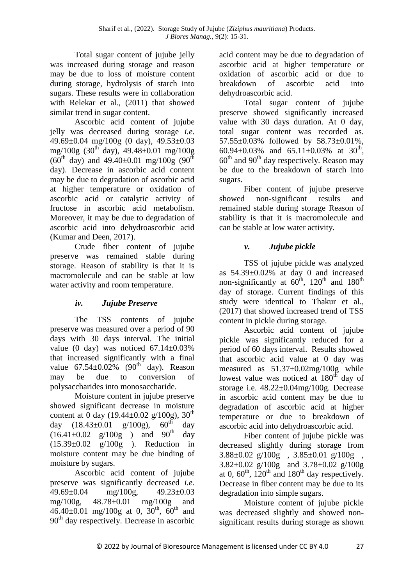Total sugar content of jujube jelly was increased during storage and reason may be due to loss of moisture content during storage, hydrolysis of starch into sugars. These results were in collaboration with Relekar et al., (2011) that showed similar trend in sugar content.

Ascorbic acid content of jujube jelly was decreased during storage *i.e.* 49.69 $\pm$ 0.04 mg/100g (0 day), 49.53 $\pm$ 0.03 mg/100g (30<sup>th</sup> day), 49.48±0.01 mg/100g  $(60^{th}$  day) and 49.40±0.01 mg/100g  $(90^{th}$ day). Decrease in ascorbic acid content may be due to degradation of ascorbic acid at higher temperature or oxidation of ascorbic acid or catalytic activity of fructose in ascorbic acid metabolism. Moreover, it may be due to degradation of ascorbic acid into dehydroascorbic acid (Kumar and Deen, 2017).

Crude fiber content of jujube preserve was remained stable during storage. Reason of stability is that it is macromolecule and can be stable at low water activity and room temperature.

### *iv. Jujube Preserve*

The TSS contents of jujube preserve was measured over a period of 90 days with 30 days interval. The initial value (0 day) was noticed  $67.14 \pm 0.03\%$ that increased significantly with a final value  $67.54 \pm 0.02\%$  (90<sup>th</sup> day). Reason may be due to conversion of polysaccharides into monosaccharide.

Moisture content in jujube preserve showed significant decrease in moisture content at 0 day (19.44±0.02 g/100g), 30<sup>th</sup> day  $(18.43\pm0.01 \text{ g}/100 \text{g})$ ,  $60^{th}$  day  $(16.41\pm0.02 \text{ g}/100\text{g})$  and  $90^{\text{th}}$  day (15.39±0.02 g/100g ). Reduction in moisture content may be due binding of moisture by sugars.

Ascorbic acid content of jujube preserve was significantly decreased *i.e.* 49.69 $\pm$ 0.04 mg/100g, 49.23 $\pm$ 0.03 mg/100g, 48.78±0.01 mg/100g and  $46.40\pm0.01$  mg/100g at 0,  $30^{\text{th}}$ ,  $60^{\text{th}}$  and 90<sup>th</sup> day respectively. Decrease in ascorbic

acid content may be due to degradation of ascorbic acid at higher temperature or oxidation of ascorbic acid or due to breakdown of ascorbic acid into dehydroascorbic acid.

Total sugar content of jujube preserve showed significantly increased value with 30 days duration. At 0 day, total sugar content was recorded as. 57.55±0.03% followed by 58.73±0.01%, 60.94 $\pm$ 0.03% and 65.11 $\pm$ 0.03% at 30<sup>th</sup>,  $60^{th}$  and  $90^{th}$  day respectively. Reason may be due to the breakdown of starch into sugars.

Fiber content of jujube preserve showed non-significant results and remained stable during storage Reason of stability is that it is macromolecule and can be stable at low water activity.

## *v. Jujube pickle*

TSS of jujube pickle was analyzed as 54.39±0.02% at day 0 and increased non-significantly at  $60^{th}$ , 120<sup>th</sup> and 180<sup>th</sup> day of storage. Current findings of this study were identical to Thakur et al., (2017) that showed increased trend of TSS content in pickle during storage.

Ascorbic acid content of jujube pickle was significantly reduced for a period of 60 days interval. Results showed that ascorbic acid value at 0 day was measured as 51.37±0.02mg/100g while lowest value was noticed at  $180^{th}$  day of storage i.e. 48.22±0.04mg/100g. Decrease in ascorbic acid content may be due to degradation of ascorbic acid at higher temperature or due to breakdown of ascorbic acid into dehydroascorbic acid.

Fiber content of jujube pickle was decreased slightly during storage from 3.88±0.02 g/100g , 3.85±0.01 g/100g , 3.82±0.02 g/100g and 3.78±0.02 g/100g at 0,  $60^{\text{th}}$ ,  $120^{\text{th}}$  and  $180^{\text{th}}$  day respectively. Decrease in fiber content may be due to its degradation into simple sugars.

Moisture content of jujube pickle was decreased slightly and showed nonsignificant results during storage as shown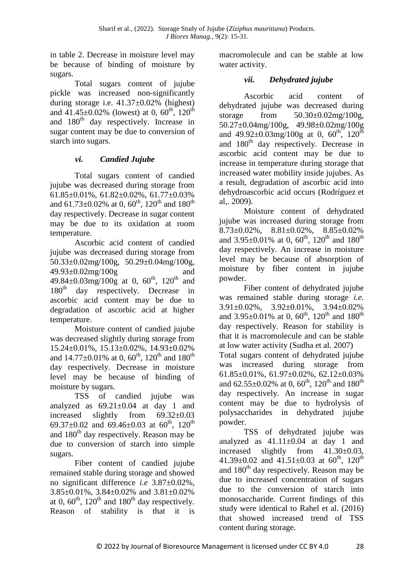in table 2. Decrease in moisture level may be because of binding of moisture by sugars.

Total sugars content of jujube pickle was increased non-significantly during storage i.e. 41.37±0.02% (highest) and  $41.45 \pm 0.02\%$  (lowest) at 0,  $60^{th}$ ,  $120^{th}$ and 180<sup>th</sup> day respectively. Increase in sugar content may be due to conversion of starch into sugars.

### *vi. Candied Jujube*

Total sugars content of candied jujube was decreased during storage from 61.85±0.01%, 61.82±0.02%, 61.77±0.03% and  $61.73\pm0.02\%$  at 0,  $60^{th}$ ,  $120^{th}$  and  $180^{th}$ day respectively. Decrease in sugar content may be due to its oxidation at room temperature.

Ascorbic acid content of candied jujube was decreased during storage from 50.33±0.02mg/100g, 50.29±0.04mg/100g, 49.93±0.02mg/100g and 49.84±0.03mg/100g at 0,  $60^{th}$ , 120<sup>th</sup> and 180<sup>th</sup> day respectively. Decrease in ascorbic acid content may be due to degradation of ascorbic acid at higher temperature.

Moisture content of candied jujube was decreased slightly during storage from 15.24±0.01%, 15.13±0.02%, 14.93±0.02% and  $14.77\pm0.01\%$  at 0,  $60^{\text{th}}$ ,  $120^{\text{th}}$  and  $180^{\text{th}}$ day respectively. Decrease in moisture level may be because of binding of moisture by sugars.

TSS of candied jujube was analyzed as  $69.21 \pm 0.04$  at day 1 and increased slightly from 69.32±0.03 69.37 $\pm$ 0.02 and 69.46 $\pm$ 0.03 at 60<sup>th</sup>, 120<sup>th</sup> and 180<sup>th</sup> day respectively. Reason may be due to conversion of starch into simple sugars.

Fiber content of candied jujube remained stable during storage and showed no significant difference *i.e* 3.87±0.02%, 3.85±0.01%, 3.84±0.02% and 3.81±0.02% at 0,  $60^{\text{th}}$ ,  $120^{\text{th}}$  and  $180^{\text{th}}$  day respectively. Reason of stability is that it is macromolecule and can be stable at low water activity.

### *vii. Dehydrated jujube*

Ascorbic acid content of dehydrated jujube was decreased during storage from 50.30±0.02mg/100g, 50.27±0.04mg/100g, 49.98±0.02mg/100g and 49.92 $\pm$ 0.03mg/100g at 0, 60<sup>th</sup>, 120<sup>th</sup> and 180th day respectively. Decrease in ascorbic acid content may be due to increase in temperature during storage that increased water mobility inside jujubes. As a result, degradation of ascorbic acid into dehydroascorbic acid occurs (Rodríguez et al,. 2009).

Moisture content of dehydrated jujube was increased during storage from 8.73±0.02%, 8.81±0.02%, 8.85±0.02% and  $3.95\pm0.01\%$  at 0,  $60^{th}$ ,  $120^{th}$  and  $180^{th}$ day respectively. An increase in moisture level may be because of absorption of moisture by fiber content in jujube powder.

Fiber content of dehydrated jujube was remained stable during storage *i.e.* 3.91±0.02%, 3.92±0.01%, 3.94±0.02% and  $3.95\pm0.01\%$  at 0,  $60^{th}$ ,  $120^{th}$  and  $180^{th}$ day respectively. Reason for stability is that it is macromolecule and can be stable at low water activity (Sudha et al. 2007) Total sugars content of dehydrated jujube was increased during storage from 61.85 $\pm$ 0.01%, 61.97 $\pm$ 0.02%, 62.12 $\pm$ 0.03% and  $62.55\pm0.02\%$  at 0,  $60^{th}$ ,  $120^{th}$  and  $180^{th}$ day respectively. An increase in sugar content may be due to hydrolysis of polysaccharides in dehydrated jujube powder.

TSS of dehydrated jujube was analyzed as  $41.11\pm0.04$  at day 1 and increased slightly from 41.30±0.03, 41.39±0.02 and 41.51±0.03 at  $60^{th}$ , 120<sup>th</sup> and 180<sup>th</sup> day respectively. Reason may be due to increased concentration of sugars due to the conversion of starch into monosaccharide. Current findings of this study were identical to Rahel et al. (2016) that showed increased trend of TSS content during storage.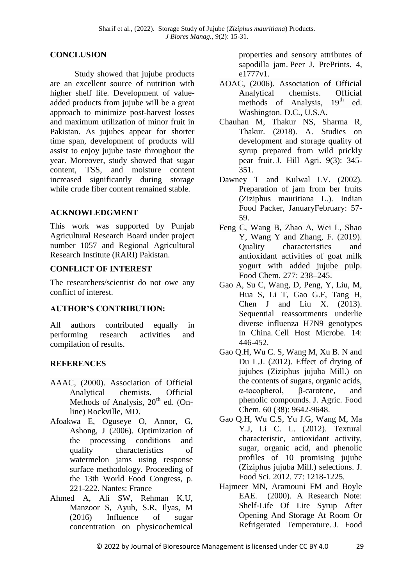#### **CONCLUSION**

Study showed that jujube products are an excellent source of nutrition with higher shelf life. Development of valueadded products from jujube will be a great approach to minimize post-harvest losses and maximum utilization of minor fruit in Pakistan. As jujubes appear for shorter time span, development of products will assist to enjoy jujube taste throughout the year. Moreover, study showed that sugar content, TSS, and moisture content increased significantly during storage while crude fiber content remained stable.

#### **ACKNOWLEDGMENT**

This work was supported by Punjab Agricultural Research Board under project number 1057 and Regional Agricultural Research Institute (RARI) Pakistan.

#### **CONFLICT OF INTEREST**

The researchers/scientist do not owe any conflict of interest.

### **AUTHOR'S CONTRIBUTION:**

All authors contributed equally in performing research activities and compilation of results.

#### **REFERENCES**

- AAAC, (2000). Association of Official Analytical chemists. Official Methods of Analysis, 20<sup>th</sup> ed. (Online) Rockville, MD.
- Afoakwa E, Oguseye O, Annor, G, Ashong, J (2006). Optimization of the processing conditions and quality characteristics of watermelon jams using response surface methodology. Proceeding of the 13th World Food Congress, p. 221-222. Nantes: France
- Ahmed A, Ali SW, Rehman K.U, Manzoor S, Ayub, S.R, Ilyas, M (2016) Influence of sugar concentration on physicochemical

properties and sensory attributes of sapodilla jam. Peer J. PrePrints. 4, e1777v1.

- AOAC, (2006). Association of Official Analytical chemists. Official methods of Analysis,  $19<sup>th</sup>$  ed. Washington. D.C., U.S.A.
- Chauhan M, Thakur NS, Sharma R, Thakur. (2018). A. Studies on development and storage quality of syrup prepared from wild prickly pear fruit. J. Hill Agri. 9(3): 345- 351.
- Dawney T and Kulwal LV. (2002). Preparation of jam from ber fruits (Ziziphus mauritiana L.). Indian Food Packer, JanuaryFebruary: 57- 59.
- Feng C, Wang B, Zhao A, Wei L, Shao Y, Wang Y and Zhang, F. (2019). Quality characteristics and antioxidant activities of goat milk yogurt with added jujube pulp. Food Chem. 277: 238–245.
- Gao A, Su C, Wang, D, Peng, Y, Liu, M, Hua S, Li T, Gao G.F, Tang H, Chen J and Liu X.  $(2013)$ . Sequential reassortments underlie diverse influenza H7N9 genotypes in China. Cell Host Microbe. 14: 446-452.
- Gao Q.H, Wu C. S, Wang M, Xu B. N and Du L.J. (2012). Effect of drying of jujubes (Ziziphus jujuba Mill.) on the contents of sugars, organic acids, α-tocopherol, β-carotene, and phenolic compounds. J. Agric. Food Chem. 60 (38): 9642-9648.
- Gao Q.H, Wu C.S, Yu J.G, Wang M, Ma Y.J, Li C. L. (2012). Textural characteristic, antioxidant activity, sugar, organic acid, and phenolic profiles of 10 promising jujube (Ziziphus jujuba Mill.) selections. J. Food Sci. 2012. 77: 1218-1225.
- Hajmeer MN, Aramouni FM and Boyle EAE. (2000). A Research Note: Shelf‐Life Of Lite Syrup After Opening And Storage At Room Or Refrigerated Temperature. J. Food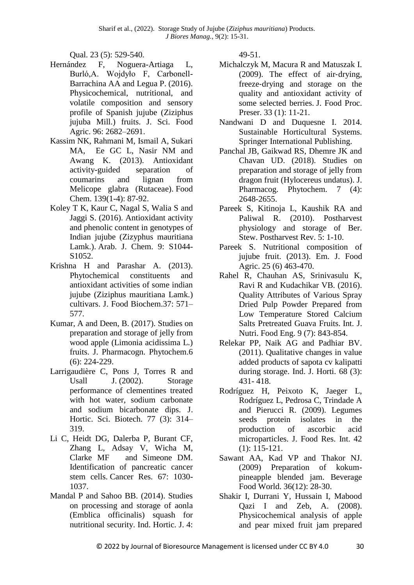Qual. 23 (5): 529-540.

- Hernández F, Noguera-Artiaga L, Burló,A. Wojdyło F, Carbonell-Barrachina AA and Legua P. (2016). Physicochemical, nutritional, and volatile composition and sensory profile of Spanish jujube (Ziziphus jujuba Mill.) fruits. J. Sci. Food Agric. 96: 2682–2691.
- Kassim NK, Rahmani M, Ismail A, Sukari MA, Ee GC L, Nasir NM and Awang K. (2013). Antioxidant activity-guided separation of coumarins and lignan from Melicope glabra (Rutaceae). Food Chem. 139(1-4): 87-92.
- Koley T K, Kaur C, Nagal S, Walia S and Jaggi S. (2016). Antioxidant activity and phenolic content in genotypes of Indian jujube (Zizyphus mauritiana Lamk.). Arab. J. Chem. 9: S1044- S<sub>1052</sub>
- Krishna H and Parashar A. (2013). Phytochemical constituents and antioxidant activities of some indian jujube (Ziziphus mauritiana Lamk.) cultivars. J. Food Biochem.37: 571– 577.
- Kumar, A and Deen, B. (2017). Studies on preparation and storage of jelly from wood apple (Limonia acidissima L.) fruits. J. Pharmacogn. Phytochem.6 (6): 224-229.
- Larrigaudière C, Pons J, Torres R and Usall J. (2002). Storage performance of clementines treated with hot water, sodium carbonate and sodium bicarbonate dips. J. Hortic. Sci. Biotech. 77 (3): 314– 319.
- Li C, Heidt DG, Dalerba P, Burant CF, Zhang L, Adsay V, Wicha M, Clarke MF and Simeone DM. Identification of pancreatic cancer stem cells. Cancer Res. 67: 1030- 1037.
- Mandal P and Sahoo BB. (2014). Studies on processing and storage of aonla (Emblica officinalis) squash for nutritional security. Ind. Hortic. J. 4:

49-51.

- Michalczyk M, Macura R and Matuszak I. (2009). The effect of air‐drying, freeze‐drying and storage on the quality and antioxidant activity of some selected berries. J. Food Proc. Preser. 33 (1): 11-21.
- Nandwani D and Duquesne I. 2014. Sustainable Horticultural Systems. Springer International Publishing.
- Panchal JB, Gaikwad RS, Dhemre JK and Chavan UD. (2018). Studies on preparation and storage of jelly from dragon fruit (Hylocereus undatus). J. Pharmacog. Phytochem. 7 (4): 2648-2655.
- Pareek S, Kitinoja L, Kaushik RA and Paliwal R. (2010). Postharvest physiology and storage of Ber. Stew. Postharvest Rev. 5: 1-10.
- Pareek S. Nutritional composition of jujube fruit. (2013). Em. J. Food Agric. 25 (6) 463-470.
- Rahel R, Chauhan AS, Srinivasulu K, Ravi R and Kudachikar VB. (2016). Quality Attributes of Various Spray Dried Pulp Powder Prepared from Low Temperature Stored Calcium Salts Pretreated Guava Fruits. Int. J. Nutri. Food Eng. 9 (7): 843-854.
- Relekar PP, Naik AG and Padhiar BV. (2011). Qualitative changes in value added products of sapota cv kalipatti during storage. Ind. J. Horti. 68 (3): 431- 418.
- Rodríguez H, Peixoto K, Jaeger L, Rodríguez L, Pedrosa C, Trindade A and Pierucci R. (2009). Legumes seeds protein isolates in the production of ascorbic acid microparticles. J. Food Res. Int. 42 (1): 115-121.
- Sawant AA, Kad VP and Thakor NJ. (2009) Preparation of kokumpineapple blended jam. Beverage Food World. 36(12): 28-30.
- Shakir I, Durrani Y, Hussain I, Mabood Qazi I and Zeb, A. (2008). Physicochemical analysis of apple and pear mixed fruit jam prepared